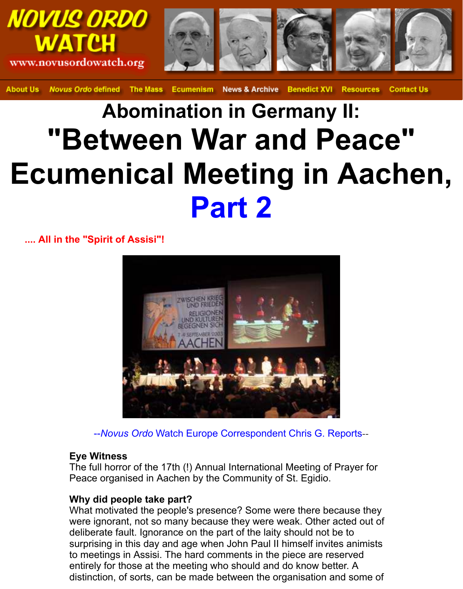

Novus Ordo defined The Mass Ecumenism News & Archive Benedict XVI Resources **Contact Us About Us** 

# **Abomination in Germany II: "Between War and Peace" Ecumenical Meeting in Aachen, Part 2**

**.... All in the "Spirit of Assisi"!**



--*Novus Ordo* Watch Europe Correspondent Chris G. Reports--

#### **Eye Witness**

The full horror of the 17th (!) Annual International Meeting of Prayer for Peace organised in Aachen by the Community of St. Egidio.

### **Why did people take part?**

What motivated the people's presence? Some were there because they were ignorant, not so many because they were weak. Other acted out of deliberate fault. Ignorance on the part of the laity should not be to surprising in this day and age when John Paul II himself invites animists to meetings in Assisi. The hard comments in the piece are reserved entirely for those at the meeting who should and do know better. A distinction, of sorts, can be made between the organisation and some of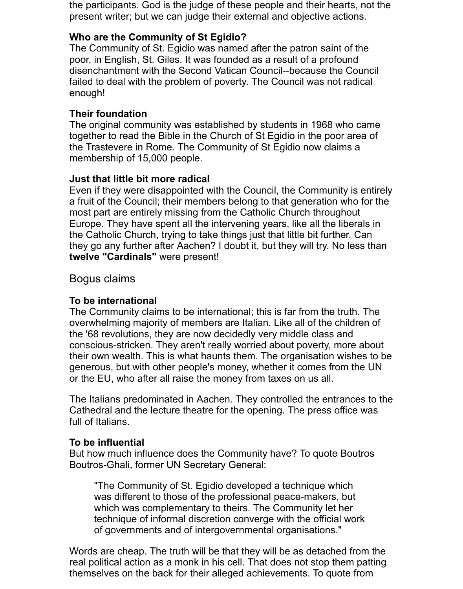the participants. God is the judge of these people and their hearts, not the present writer; but we can judge their external and objective actions.

# **Who are the Community of St Egidio?**

The Community of St. Egidio was named after the patron saint of the poor, in English, St. Giles. It was founded as a result of a profound disenchantment with the Second Vatican Council--because the Council failed to deal with the problem of poverty. The Council was not radical enough!

# **Their foundation**

The original community was established by students in 1968 who came together to read the Bible in the Church of St Egidio in the poor area of the Trastevere in Rome. The Community of St Egidio now claims a membership of 15,000 people.

# **Just that little bit more radical**

Even if they were disappointed with the Council, the Community is entirely a fruit of the Council; their members belong to that generation who for the most part are entirely missing from the Catholic Church throughout Europe. They have spent all the intervening years, like all the liberals in the Catholic Church, trying to take things just that little bit further. Can they go any further after Aachen? I doubt it, but they will try. No less than **twelve "Cardinals"** were present!

Bogus claims

# **To be international**

The Community claims to be international; this is far from the truth. The overwhelming majority of members are Italian. Like all of the children of the '68 revolutions, they are now decidedly very middle class and conscious-stricken. They aren't really worried about poverty, more about their own wealth. This is what haunts them. The organisation wishes to be generous, but with other people's money, whether it comes from the UN or the EU, who after all raise the money from taxes on us all.

The Italians predominated in Aachen. They controlled the entrances to the Cathedral and the lecture theatre for the opening. The press office was full of Italians.

### **To be influential**

But how much influence does the Community have? To quote Boutros Boutros-Ghali, former UN Secretary General:

"The Community of St. Egidio developed a technique which was different to those of the professional peace-makers, but which was complementary to theirs. The Community let her technique of informal discretion converge with the official work of governments and of intergovernmental organisations."

Words are cheap. The truth will be that they will be as detached from the real political action as a monk in his cell. That does not stop them patting themselves on the back for their alleged achievements. To quote from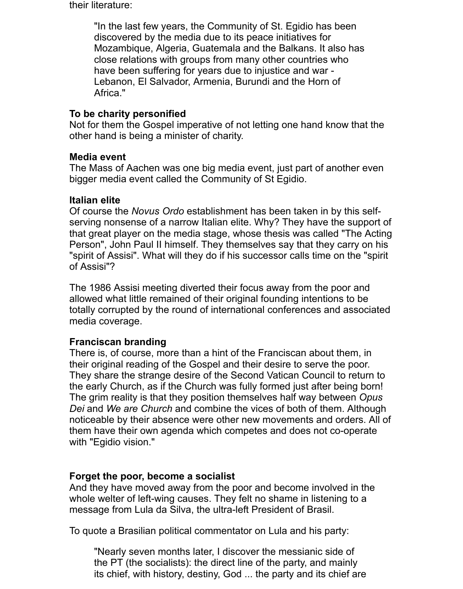their literature:

"In the last few years, the Community of St. Egidio has been discovered by the media due to its peace initiatives for Mozambique, Algeria, Guatemala and the Balkans. It also has close relations with groups from many other countries who have been suffering for years due to injustice and war - Lebanon, El Salvador, Armenia, Burundi and the Horn of Africa."

### **To be charity personified**

Not for them the Gospel imperative of not letting one hand know that the other hand is being a minister of charity.

### **Media event**

The Mass of Aachen was one big media event, just part of another even bigger media event called the Community of St Egidio.

### **Italian elite**

Of course the *Novus Ordo* establishment has been taken in by this selfserving nonsense of a narrow Italian elite. Why? They have the support of that great player on the media stage, whose thesis was called "The Acting Person", John Paul II himself. They themselves say that they carry on his "spirit of Assisi". What will they do if his successor calls time on the "spirit of Assisi"?

The 1986 Assisi meeting diverted their focus away from the poor and allowed what little remained of their original founding intentions to be totally corrupted by the round of international conferences and associated media coverage.

### **Franciscan branding**

There is, of course, more than a hint of the Franciscan about them, in their original reading of the Gospel and their desire to serve the poor. They share the strange desire of the Second Vatican Council to return to the early Church, as if the Church was fully formed just after being born! The grim reality is that they position themselves half way between *Opus Dei* and *We are Church* and combine the vices of both of them. Although noticeable by their absence were other new movements and orders. All of them have their own agenda which competes and does not co-operate with "Egidio vision."

### **Forget the poor, become a socialist**

And they have moved away from the poor and become involved in the whole welter of left-wing causes. They felt no shame in listening to a message from Lula da Silva, the ultra-left President of Brasil.

To quote a Brasilian political commentator on Lula and his party:

"Nearly seven months later, I discover the messianic side of the PT (the socialists): the direct line of the party, and mainly its chief, with history, destiny, God ... the party and its chief are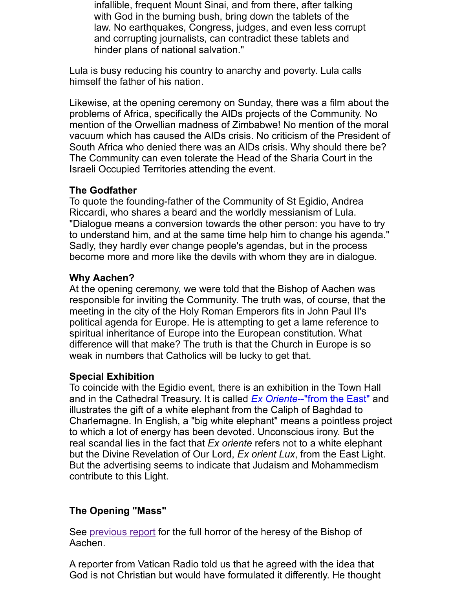Likewise, at the opening ceremony on Sunday, there was a film about the problems of Africa, specifically the AIDs projects of the Community. No mention of the Orwellian madness of Zimbabwe! No mention of the mo vacuum which has caused the AIDs crisis. No criticism of the President South Africa who denied there was an AIDs crisis. Why should there be The Community can even tolerate the Head of the Sharia Court in the Israeli Occupied Territories attending the event.

# **The Godfather**

To quote the founding-father of the Community of St Egidio, Andrea Riccardi, who shares a beard and the worldly messianism of Lula. "Dialogue means a conversion towards the other person: you have to t to understand him, and at the same time help him to change his agend Sadly, they hardly ever change people's agendas, but in the process become more and more like the devils with whom they are in dialogue.

# **Why Aachen?**

At the opening ceremony, we were told that the Bishop of Aachen was responsible for inviting the Community. The truth was, of course, that the meeting in the city of the Holy Roman Emperors fits in John Paul II's political agenda for Europe. He is attempting to get a lame reference to spiritual inheritance of Europe into the European constitution. What difference will that make? The truth is that the Church in Europe is so weak in numbers that Catholics will be lucky to get that.

### **Special Exhibition**

To coincide with the Egidio event, there is an exhibition in the Town Ha and in the Cathedral Treasury. It is called **Ex Oriente--"from the East"** a illustrates the gift of a white elephant from the Caliph of Baghdad to Charlemagne. In English, a "big white elephant" means a pointless pro to which a lot of energy has been devoted. Unconscious irony. But the real scandal lies in the fact that *Ex oriente* refers not to a white elephant but the Divine Revelation of Our Lord, *Ex orient Lux*, from the East Light. But the advertising seems to indicate that Judaism and Mohammedism contribute to this Light.

# **The Opening "Mass"**

See previous report for the full horror of the heresy of the Bishop of Aachen.

A reporter from Vatican Radio told us that he agreed with the idea that God is not Christian but would have formulated it differently. He though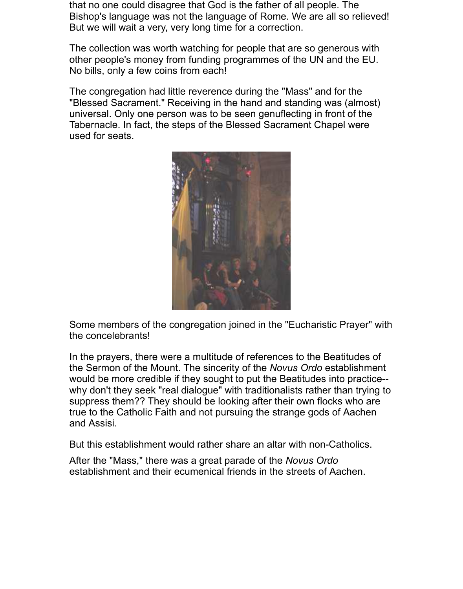that no one could disagree that God is the father of all people. The Bishop's language was not the language of Rome. We are all so relieved! But we will wait a very, very long time for a correction.

The collection was worth watching for people that are so generous with other people's money from funding programmes of the UN and the EU. No bills, only a few coins from each!

The congregation had little reverence during the "Mass" and for the "Blessed Sacrament." Receiving in the hand and standing was (almost) universal. Only one person was to be seen genuflecting in front of the Tabernacle. In fact, the steps of the Blessed Sacrament Chapel were used for seats.



Some members of the congregation joined in the "Eucharistic Prayer" with the concelebrants!

In the prayers, there were a multitude of references to the Beatitudes of the Sermon of the Mount. The sincerity of the *Novus Ordo* establishment would be more credible if they sought to put the Beatitudes into practice- why don't they seek "real dialogue" with traditionalists rather than trying to suppress them?? They should be looking after their own flocks who are true to the Catholic Faith and not pursuing the strange gods of Aachen and Assisi.

But this establishment would rather share an altar with non-Catholics.

After the "Mass," there was a great parade of the *Novus Ordo* establishment and their ecumenical friends in the streets of Aachen.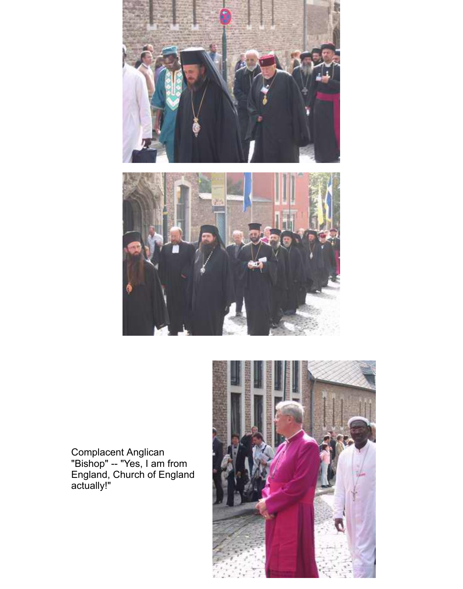



Complacent Anglican "Bishop" -- "Yes, I am from England, Church of England actually!"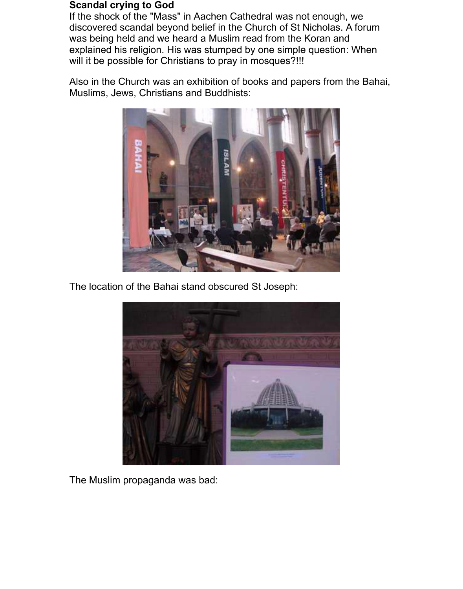#### **Scandal crying to God**

If the shock of the "Mass" in Aachen Cathedral was not enough, we discovered scandal beyond belief in the Church of St Nicholas. A forum was being held and we heard a Muslim read from the Koran and explained his religion. His was stumped by one simple question: When will it be possible for Christians to pray in mosques?!!!

Also in the Church was an exhibition of books and papers from the Bahai, Muslims, Jews, Christians and Buddhists:



The location of the Bahai stand obscured St Joseph:



The Muslim propaganda was bad: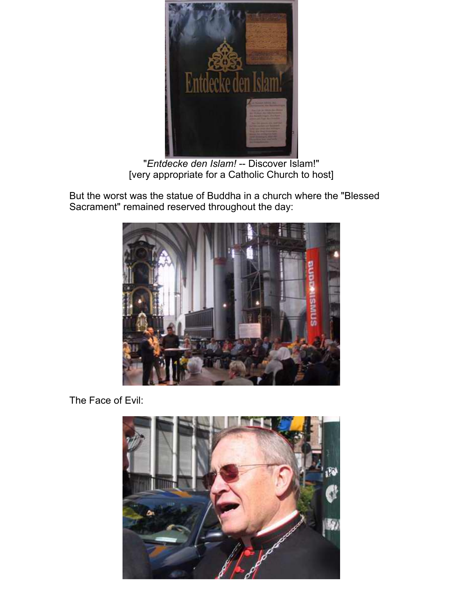

"*Entdecke den Islam!* -- Discover Islam!" [very appropriate for a Catholic Church to host]

But the worst was the statue of Buddha in a church where the "Blessed Sacrament" remained reserved throughout the day:



The Face of Evil: